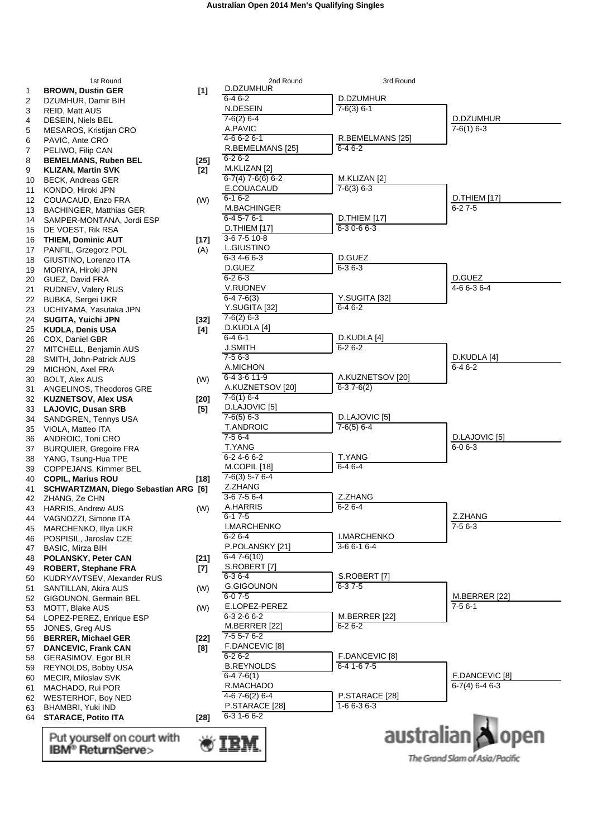|          | 1st Round                                                |        | 2nd Round                        | 3rd Round                 |                                |
|----------|----------------------------------------------------------|--------|----------------------------------|---------------------------|--------------------------------|
| 1        | <b>BROWN, Dustin GER</b>                                 | $[1]$  | D.DZUMHUR                        |                           |                                |
| 2        | DZUMHUR, Damir BIH                                       |        | $6 - 46 - 2$                     | D.DZUMHUR                 |                                |
| 3        | <b>REID, Matt AUS</b>                                    |        | N.DESEIN                         | $7-6(3) 6-1$              |                                |
| 4        | DESEIN, Niels BEL                                        |        | $7-6(2)$ 6-4                     |                           | D.DZUMHUR<br>$7-6(1)$ 6-3      |
| 5        | MESAROS, Kristijan CRO                                   |        | A.PAVIC<br>4-6 6-2 6-1           | R.BEMELMANS [25]          |                                |
| 6        | PAVIC, Ante CRO                                          |        | R.BEMELMANS [25]                 | $6 - 46 - 2$              |                                |
| 7        | PELIWO, Filip CAN                                        |        | $6 - 26 - 2$                     |                           |                                |
| 8        | <b>BEMELMANS, Ruben BEL</b><br><b>KLIZAN, Martin SVK</b> | [25]   | M.KLIZAN [2]                     |                           |                                |
| 9<br>10  | <b>BECK, Andreas GER</b>                                 | $[2]$  | $6-7(4)$ 7-6(6) 6-2              | M.KLIZAN [2]              |                                |
| 11       | KONDO, Hiroki JPN                                        |        | E.COUACAUD                       | $7-6(3)$ 6-3              |                                |
| 12       | COUACAUD, Enzo FRA                                       | (W)    | $6 - 16 - 2$                     |                           | D.THIEM [17]                   |
| 13       | <b>BACHINGER, Matthias GER</b>                           |        | M.BACHINGER                      |                           | $6 - 27 - 5$                   |
| 14       | SAMPER-MONTANA, Jordi ESP                                |        | $6-45-76-1$                      | D.THIEM [17]              |                                |
| 15       | DE VOEST, Rik RSA                                        |        | <b>D.THIEM</b> [17]              | $6 - 30 - 66 - 3$         |                                |
| 16       | <b>THIEM, Dominic AUT</b>                                | $[17]$ | 3-67-510-8                       |                           |                                |
| 17       | PANFIL, Grzegorz POL                                     | (A)    | L.GIUSTINO                       |                           |                                |
| 18       | GIUSTINO, Lorenzo ITA                                    |        | $6-34-66-3$                      | D.GUEZ                    |                                |
| 19       | MORIYA, Hiroki JPN                                       |        | D.GUEZ                           | $6 - 36 - 3$              |                                |
| 20       | GUEZ, David FRA                                          |        | $6 - 26 - 3$                     |                           | D.GUEZ                         |
| 21       | RUDNEV, Valery RUS                                       |        | V.RUDNEV                         |                           | 4-6 6-3 6-4                    |
| 22       | <b>BUBKA, Sergei UKR</b>                                 |        | $6-47-6(3)$                      | Y.SUGITA [32]<br>$6-46-2$ |                                |
| 23       | UCHIYAMA, Yasutaka JPN                                   |        | Y.SUGITA [32]<br>$7-6(2)$ 6-3    |                           |                                |
| 24       | SUGITA, Yuichi JPN                                       | $[32]$ | D.KUDLA [4]                      |                           |                                |
| 25       | <b>KUDLA, Denis USA</b>                                  | [4]    | $6 - 46 - 1$                     | D.KUDLA [4]               |                                |
| 26       | COX, Daniel GBR                                          |        | <b>J.SMITH</b>                   | $6 - 26 - 2$              |                                |
| 27<br>28 | MITCHELL, Benjamin AUS<br>SMITH, John-Patrick AUS        |        | $7-56-3$                         |                           | D.KUDLA [4]                    |
| 29       | MICHON, Axel FRA                                         |        | A.MICHON                         |                           | $6-46-2$                       |
| 30       | <b>BOLT, Alex AUS</b>                                    | (W)    | 6-4 3-6 11-9                     | A.KUZNETSOV [20]          |                                |
| 31       | ANGELINOS, Theodoros GRE                                 |        | A.KUZNETSOV [20]                 | $6-37-6(2)$               |                                |
| 32       | <b>KUZNETSOV, Alex USA</b>                               | [20]   | $7-6(1)$ 6-4                     |                           |                                |
| 33       | <b>LAJOVIC, Dusan SRB</b>                                | [5]    | D.LAJOVIC [5]                    |                           |                                |
| 34       | SANDGREN, Tennys USA                                     |        | $7-6(5)$ 6-3                     | D.LAJOVIC [5]             |                                |
| 35       | VIOLA, Matteo ITA                                        |        | <b>T.ANDROIC</b>                 | $7-6(5)$ 6-4              |                                |
| 36       | ANDROIC, Toni CRO                                        |        | $7-56-4$                         |                           | D.LAJOVIC [5]                  |
| 37       | <b>BURQUIER, Gregoire FRA</b>                            |        | T.YANG                           |                           | $6 - 06 - 3$                   |
| 38       | YANG, Tsung-Hua TPE                                      |        | $6 - 24 - 66 - 2$                | T.YANG                    |                                |
| 39       | COPPEJANS, Kimmer BEL                                    |        | M.COPIL [18]<br>$7-6(3)$ 5-7 6-4 | $6-46-4$                  |                                |
| 40       | <b>COPIL, Marius ROU</b>                                 | $[18]$ | Z.ZHANG                          |                           |                                |
| 41       | SCHWARTZMAN, Diego Sebastian ARG [6]                     |        | $3-67-56-4$                      | Z.ZHANG                   |                                |
| 42       | ZHANG, Ze CHN                                            |        | A.HARRIS                         | $6 - 26 - 4$              |                                |
| 43       | <b>HARRIS, Andrew AUS</b><br>44 VAGNOZZI, Simone ITA     | (W)    | $6 - 17 - 5$                     |                           | Z.ZHANG                        |
| 45       | MARCHENKO, Illya UKR                                     |        | <b>I.MARCHENKO</b>               |                           | $7-56-3$                       |
| 46       | POSPISIL, Jaroslav CZE                                   |        | $6 - 26 - 4$                     | <b>I.MARCHENKO</b>        |                                |
| 47       | BASIC, Mirza BIH                                         |        | P.POLANSKY [21]                  | $3-66-16-4$               |                                |
| 48       | POLANSKY, Peter CAN                                      | [21]   | $6 - 47 - 6(10)$                 |                           |                                |
| 49       | <b>ROBERT, Stephane FRA</b>                              | $[7]$  | S.ROBERT [7]                     |                           |                                |
| 50       | KUDRYAVTSEV, Alexander RUS                               |        | $6 - 36 - 4$                     | S.ROBERT [7]              |                                |
| 51       | SANTILLAN, Akira AUS                                     | (W)    | <b>G.GIGOUNON</b>                | $6 - 37 - 5$              |                                |
| 52       | GIGOUNON, Germain BEL                                    |        | $6 - 07 - 5$                     |                           | <b>M.BERRER</b> [22]           |
| 53       | MOTT, Blake AUS                                          | (W)    | E.LOPEZ-PEREZ                    |                           | $7 - 56 - 1$                   |
| 54       | LOPEZ-PEREZ, Enrique ESP                                 |        | $6 - 32 - 66 - 2$                | M.BERRER [22]             |                                |
| 55       | JONES, Greg AUS                                          |        | M.BERRER [22]                    | $6 - 26 - 2$              |                                |
| 56       | <b>BERRER, Michael GER</b>                               | [22]   | 7-5 5-7 6-2<br>F.DANCEVIC [8]    |                           |                                |
| 57       | <b>DANCEVIC, Frank CAN</b>                               | [8]    | $6 - 26 - 2$                     | F.DANCEVIC [8]            |                                |
| 58       | GERASIMOV, Egor BLR                                      |        | <b>B.REYNOLDS</b>                | $6-41-67-5$               |                                |
| 59       | REYNOLDS, Bobby USA<br>MECIR, Miloslav SVK               |        | $6-47-6(1)$                      |                           | F.DANCEVIC [8]                 |
| 60<br>61 | MACHADO, Rui POR                                         |        | R.MACHADO                        |                           | $6-7(4)$ 6-4 6-3               |
| 62       | <b>WESTERHOF, Boy NED</b>                                |        | $4-67-6(2)6-4$                   | P.STARACE [28]            |                                |
| 63       | BHAMBRI, Yuki IND                                        |        | P.STARACE [28]                   | $1 - 66 - 36 - 3$         |                                |
| 64       | <b>STARACE, Potito ITA</b>                               | $[28]$ | $6 - 31 - 66 - 2$                |                           |                                |
|          |                                                          |        |                                  |                           |                                |
|          | Put yourself on court with                               |        |                                  |                           | australian open                |
|          | IBM <sup>®</sup> ReturnServe>                            |        |                                  |                           |                                |
|          |                                                          |        |                                  |                           | The Grand Slam of Asia/Pacific |